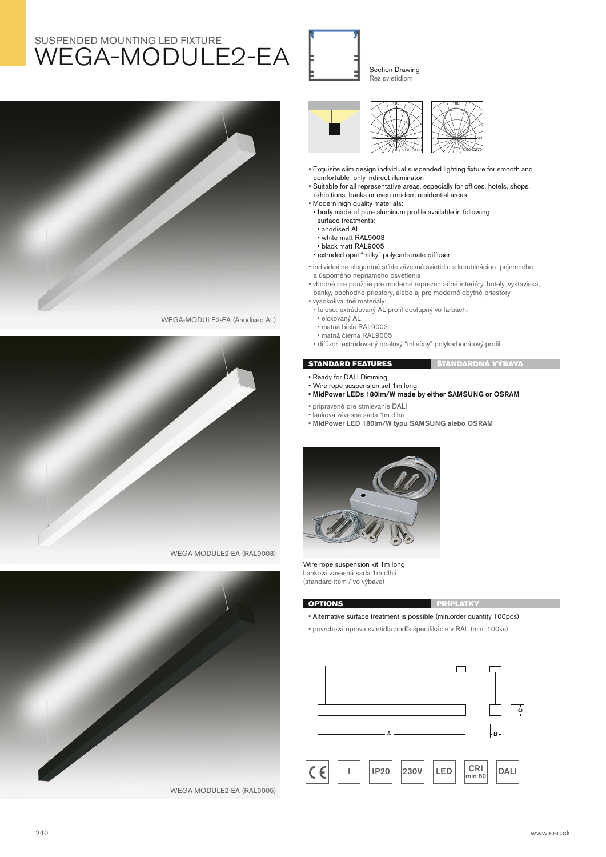## SUSPENDED MOUNTING LED FIXTURE WEGA-MODULE2-EA



WEGA-MODULE2-EA (Anodised AL)







Section Drawing Rez svietidlom



• Exquisite slim design individual suspended lighting fixture for smooth and comfortable only indirect illuminaton

 $\overline{c}$ 

- Suitable for all representative areas, especially for offices, hotels, shops, exhibitions, banks or even modern residential areas
- Modern high quality materials:
- body made of pure aluminum profile available in following surface treatments:
- anodised AL
- white matt RAL9003
- black matt RAL9005
- extruded opal "milky" polycarbonate diffuser
- individuálne elegantné štíhle závesné svietidlo s kombináciou príjemného a úsporného nepriameho osvetlenia
- vhodné pre použitie pre moderné reprezentačné interiéry, hotely, výstaviská, banky, obchodné priestory, alebo aj pre moderné obytné priestory
- vysokokvalitné materiály:
- teleso: extrúdovaný AL profil dostupný vo farbách:
- eloxovaný AL
- matná biela RAL9003
- matná čierna RAL9005
- difúzor: extrúdovaný opálový "mliečny" polykarbonátový profil

## **STANDARD FEATURES** ŠTANDARDNÁ VÝBAVA

- Ready for DALI Dimming
- Wire rope suspension set 1m long
- **MidPower LEDs 180lm/W made by either SAMSUNG or OSRAM**
- pripravené pre stmievanie DALI
- lanková závesná sada 1m dlhá
- **MidPower LED 180lm/W typu SAMSUNG alebo OSRAM**



Wire rope suspension kit 1m long Lanková závesná sada 1m dlhá (standard item / vo výbave)



- Alternative surface treatment is possible (min.order quantity 100pcs)
- povrchová úprava svietidla podľa špecifikácie v RAL (min. 100ks)
- ┌ **C A B**  $\vert$  **I**  $\vert$  **IP20**  $\vert$   $\vert$  **230V**  $\vert$  **LED**  $\vert$   $\vert$   $\vert$   $\vert$ CRI<sub>I</sub>  $\vert$   $\vert$ DALI **min 80**

240 www.sec.sk